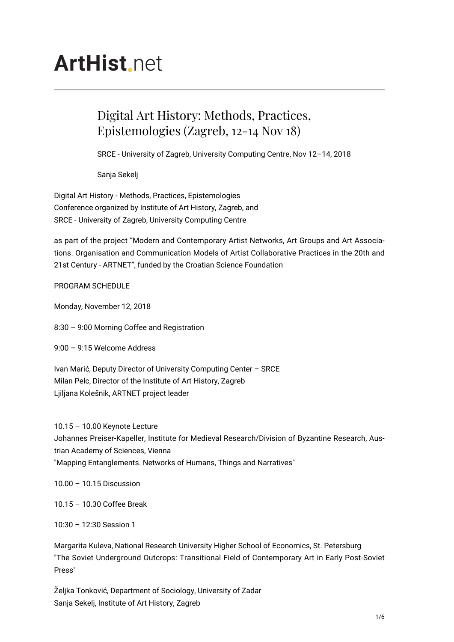# **ArtHist** net

# Digital Art History: Methods, Practices, Epistemologies (Zagreb, 12-14 Nov 18)

SRCE - University of Zagreb, University Computing Centre, Nov 12–14, 2018

Sanja Sekelj

Digital Art History - Methods, Practices, Epistemologies Conference organized by Institute of Art History, Zagreb, and SRCE - University of Zagreb, University Computing Centre

as part of the project "Modern and Contemporary Artist Networks, Art Groups and Art Associations. Organisation and Communication Models of Artist Collaborative Practices in the 20th and 21st Century - ARTNET", funded by the Croatian Science Foundation

PROGRAM SCHEDULE

Monday, November 12, 2018

8:30 – 9:00 Morning Coffee and Registration

9:00 – 9:15 Welcome Address

Ivan Marić, Deputy Director of University Computing Center – SRCE Milan Pelc, Director of the Institute of Art History, Zagreb Ljiljana Kolešnik, ARTNET project leader

10.15 – 10.00 Keynote Lecture Johannes Preiser-Kapeller, Institute for Medieval Research/Division of Byzantine Research, Austrian Academy of Sciences, Vienna "Mapping Entanglements. Networks of Humans, Things and Narratives"

10.00 – 10.15 Discussion

10.15 – 10.30 Coffee Break

10:30 – 12:30 Session 1

Margarita Kuleva, National Research University Higher School of Economics, St. Petersburg "The Soviet Underground Outcrops: Transitional Field of Contemporary Art in Early Post-Soviet Press"

Željka Tonković, Department of Sociology, University of Zadar Sanja Sekelj, Institute of Art History, Zagreb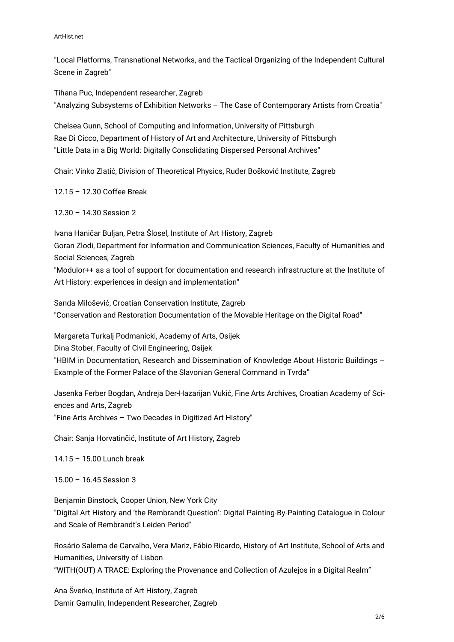#### ArtHist.net

"Local Platforms, Transnational Networks, and the Tactical Organizing of the Independent Cultural Scene in Zagreb"

Tihana Puc, Independent researcher, Zagreb "Analyzing Subsystems of Exhibition Networks – The Case of Contemporary Artists from Croatia"

Chelsea Gunn, School of Computing and Information, University of Pittsburgh Rae Di Cicco, Department of History of Art and Architecture, University of Pittsburgh "Little Data in a Big World: Digitally Consolidating Dispersed Personal Archives"

Chair: Vinko Zlatić, Division of Theoretical Physics, Ruđer Bošković Institute, Zagreb

12.15 – 12.30 Coffee Break

12.30 – 14.30 Session 2

Ivana Haničar Buljan, Petra Šlosel, Institute of Art History, Zagreb Goran Zlodi, Department for Information and Communication Sciences, Faculty of Humanities and Social Sciences, Zagreb "Modulor++ as a tool of support for documentation and research infrastructure at the Institute of Art History: experiences in design and implementation"

Sanda Milošević, Croatian Conservation Institute, Zagreb "Conservation and Restoration Documentation of the Movable Heritage on the Digital Road"

Margareta Turkalj Podmanicki, Academy of Arts, Osijek Dina Stober, Faculty of Civil Engineering, Osijek "HBIM in Documentation, Research and Dissemination of Knowledge About Historic Buildings – Example of the Former Palace of the Slavonian General Command in Tvrđa"

Jasenka Ferber Bogdan, Andreja Der-Hazarijan Vukić, Fine Arts Archives, Croatian Academy of Sciences and Arts, Zagreb "Fine Arts Archives – Two Decades in Digitized Art History"

Chair: Sanja Horvatinčić, Institute of Art History, Zagreb

14.15 – 15.00 Lunch break

15.00 – 16.45 Session 3

Benjamin Binstock, Cooper Union, New York City "Digital Art History and 'the Rembrandt Question': Digital Painting-By-Painting Catalogue in Colour and Scale of Rembrandt's Leiden Period"

Rosário Salema de Carvalho, Vera Mariz, Fábio Ricardo, History of Art Institute, School of Arts and Humanities, University of Lisbon "WITH(OUT) A TRACE: Exploring the Provenance and Collection of Azulejos in a Digital Realm"

Ana Šverko, Institute of Art History, Zagreb Damir Gamulin, Independent Researcher, Zagreb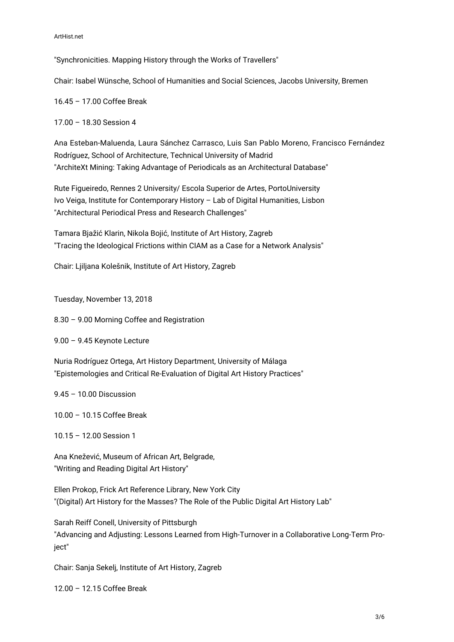"Synchronicities. Mapping History through the Works of Travellers"

Chair: Isabel Wünsche, School of Humanities and Social Sciences, Jacobs University, Bremen

16.45 – 17.00 Coffee Break

17.00 – 18.30 Session 4

Ana Esteban-Maluenda, Laura Sánchez Carrasco, Luis San Pablo Moreno, Francisco Fernández Rodríguez, School of Architecture, Technical University of Madrid "ArchiteXt Mining: Taking Advantage of Periodicals as an Architectural Database"

Rute Figueiredo, Rennes 2 University/ Escola Superior de Artes, PortoUniversity Ivo Veiga, Institute for Contemporary History – Lab of Digital Humanities, Lisbon "Architectural Periodical Press and Research Challenges"

Tamara Bjažić Klarin, Nikola Bojić, Institute of Art History, Zagreb "Tracing the Ideological Frictions within CIAM as a Case for a Network Analysis"

Chair: Ljiljana Kolešnik, Institute of Art History, Zagreb

Tuesday, November 13, 2018

8.30 – 9.00 Morning Coffee and Registration

9.00 – 9.45 Keynote Lecture

Nuria Rodríguez Ortega, Art History Department, University of Málaga "Epistemologies and Critical Re-Evaluation of Digital Art History Practices"

9.45 – 10.00 Discussion

10.00 – 10.15 Coffee Break

10.15 – 12.00 Session 1

Ana Knežević, Museum of African Art, Belgrade, "Writing and Reading Digital Art History"

Ellen Prokop, Frick Art Reference Library, New York City "(Digital) Art History for the Masses? The Role of the Public Digital Art History Lab"

Sarah Reiff Conell, University of Pittsburgh "Advancing and Adjusting: Lessons Learned from High-Turnover in a Collaborative Long-Term Proiect"

Chair: Sanja Sekelj, Institute of Art History, Zagreb

12.00 – 12.15 Coffee Break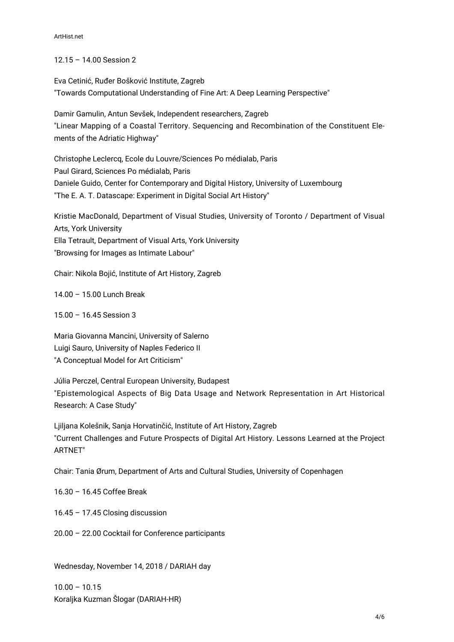#### 12.15 – 14.00 Session 2

Eva Cetinić, Ruđer Bošković Institute, Zagreb "Towards Computational Understanding of Fine Art: A Deep Learning Perspective"

Damir Gamulin, Antun Sevšek, Independent researchers, Zagreb "Linear Mapping of a Coastal Territory. Sequencing and Recombination of the Constituent Elements of the Adriatic Highway"

Christophe Leclercq, Ecole du Louvre/Sciences Po médialab, Paris Paul Girard, Sciences Po médialab, Paris Daniele Guido, Center for Contemporary and Digital History, University of Luxembourg "The E. A. T. Datascape: Experiment in Digital Social Art History"

Kristie MacDonald, Department of Visual Studies, University of Toronto / Department of Visual Arts, York University Ella Tetrault, Department of Visual Arts, York University "Browsing for Images as Intimate Labour"

Chair: Nikola Bojić, Institute of Art History, Zagreb

14.00 – 15.00 Lunch Break

15.00 – 16.45 Session 3

Maria Giovanna Mancini, University of Salerno Luigi Sauro, University of Naples Federico II "A Conceptual Model for Art Criticism"

Júlia Perczel, Central European University, Budapest "Epistemological Aspects of Big Data Usage and Network Representation in Art Historical Research: A Case Study"

Ljiljana Kolešnik, Sanja Horvatinčić, Institute of Art History, Zagreb "Current Challenges and Future Prospects of Digital Art History. Lessons Learned at the Project ARTNET"

Chair: Tania Ørum, Department of Arts and Cultural Studies, University of Copenhagen

16.30 – 16.45 Coffee Break

16.45 – 17.45 Closing discussion

20.00 – 22.00 Cocktail for Conference participants

Wednesday, November 14, 2018 / DARIAH day

 $10.00 - 10.15$ Koraljka Kuzman Šlogar (DARIAH-HR)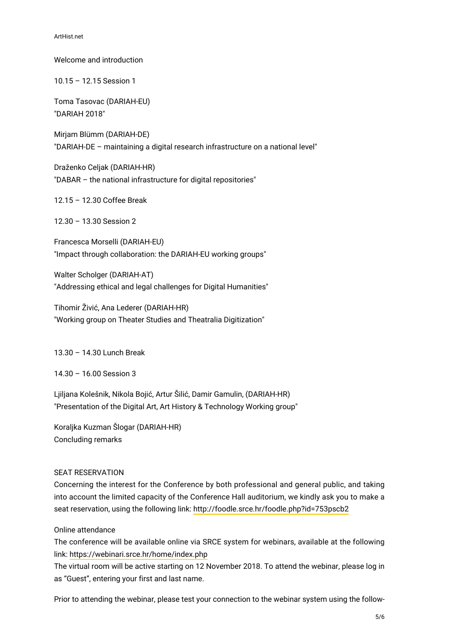Welcome and introduction 10.15 – 12.15 Session 1 Toma Tasovac (DARIAH-EU) "DARIAH 2018" Mirjam Blümm (DARIAH-DE) "DARIAH-DE – maintaining a digital research infrastructure on a national level" Draženko Celjak (DARIAH-HR) "DABAR – the national infrastructure for digital repositories" 12.15 – 12.30 Coffee Break 12.30 – 13.30 Session 2

Francesca Morselli (DARIAH-EU) "Impact through collaboration: the DARIAH-EU working groups"

Walter Scholger (DARIAH-AT) "Addressing ethical and legal challenges for Digital Humanities"

Tihomir Živić, Ana Lederer (DARIAH-HR) "Working group on Theater Studies and Theatralia Digitization"

13.30 – 14.30 Lunch Break

14.30 – 16.00 Session 3

Ljiljana Kolešnik, Nikola Bojić, Artur Šilić, Damir Gamulin, (DARIAH-HR) "Presentation of the Digital Art, Art History & Technology Working group"

Koraljka Kuzman Šlogar (DARIAH-HR) Concluding remarks

### SEAT RESERVATION

Concerning the interest for the Conference by both professional and general public, and taking into account the limited capacity of the Conference Hall auditorium, we kindly ask you to make a seat reservation, using the following link: <http://foodle.srce.hr/foodle.php?id=753pscb2>

### Online attendance

The conference will be available online via SRCE system for webinars, available at the following link:<https://webinari.srce.hr/home/index.php>

The virtual room will be active starting on 12 November 2018. To attend the webinar, please log in as "Guest", entering your first and last name.

Prior to attending the webinar, please test your connection to the webinar system using the follow-